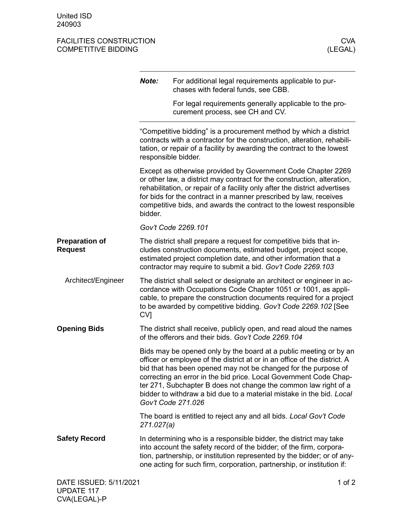## FACILITIES CONSTRUCTION CONSTRUCTION COMPETITIVE BIDDING (SERVICES AND TABLE SOME THAT A RESERVENCE OF A RESER<br>
COMPETITIVE BIDDING COMPETITIVE BIDDING

|                                         | Note:                                                                                                                                                                                                                                                                                                                                                                        | For additional legal requirements applicable to pur-<br>chases with federal funds, see CBB.                                                                                                                                                                                                                                                                                                                                                            |
|-----------------------------------------|------------------------------------------------------------------------------------------------------------------------------------------------------------------------------------------------------------------------------------------------------------------------------------------------------------------------------------------------------------------------------|--------------------------------------------------------------------------------------------------------------------------------------------------------------------------------------------------------------------------------------------------------------------------------------------------------------------------------------------------------------------------------------------------------------------------------------------------------|
|                                         |                                                                                                                                                                                                                                                                                                                                                                              | For legal requirements generally applicable to the pro-<br>curement process, see CH and CV.                                                                                                                                                                                                                                                                                                                                                            |
|                                         |                                                                                                                                                                                                                                                                                                                                                                              | "Competitive bidding" is a procurement method by which a district<br>contracts with a contractor for the construction, alteration, rehabili-<br>tation, or repair of a facility by awarding the contract to the lowest<br>responsible bidder.                                                                                                                                                                                                          |
|                                         | Except as otherwise provided by Government Code Chapter 2269<br>or other law, a district may contract for the construction, alteration,<br>rehabilitation, or repair of a facility only after the district advertises<br>for bids for the contract in a manner prescribed by law, receives<br>competitive bids, and awards the contract to the lowest responsible<br>bidder. |                                                                                                                                                                                                                                                                                                                                                                                                                                                        |
|                                         |                                                                                                                                                                                                                                                                                                                                                                              | Gov't Code 2269.101                                                                                                                                                                                                                                                                                                                                                                                                                                    |
| <b>Preparation of</b><br><b>Request</b> | The district shall prepare a request for competitive bids that in-<br>cludes construction documents, estimated budget, project scope,<br>estimated project completion date, and other information that a<br>contractor may require to submit a bid. Gov't Code 2269.103                                                                                                      |                                                                                                                                                                                                                                                                                                                                                                                                                                                        |
| Architect/Engineer                      | CV <sub>1</sub>                                                                                                                                                                                                                                                                                                                                                              | The district shall select or designate an architect or engineer in ac-<br>cordance with Occupations Code Chapter 1051 or 1001, as appli-<br>cable, to prepare the construction documents required for a project<br>to be awarded by competitive bidding. Gov't Code 2269.102 [See                                                                                                                                                                      |
| <b>Opening Bids</b>                     |                                                                                                                                                                                                                                                                                                                                                                              | The district shall receive, publicly open, and read aloud the names<br>of the offerors and their bids. Gov't Code 2269.104                                                                                                                                                                                                                                                                                                                             |
|                                         |                                                                                                                                                                                                                                                                                                                                                                              | Bids may be opened only by the board at a public meeting or by an<br>officer or employee of the district at or in an office of the district. A<br>bid that has been opened may not be changed for the purpose of<br>correcting an error in the bid price. Local Government Code Chap-<br>ter 271, Subchapter B does not change the common law right of a<br>bidder to withdraw a bid due to a material mistake in the bid. Local<br>Gov't Code 271.026 |
|                                         | 271.027(a)                                                                                                                                                                                                                                                                                                                                                                   | The board is entitled to reject any and all bids. Local Gov't Code                                                                                                                                                                                                                                                                                                                                                                                     |
| <b>Safety Record</b>                    |                                                                                                                                                                                                                                                                                                                                                                              | In determining who is a responsible bidder, the district may take<br>into account the safety record of the bidder; of the firm, corpora-<br>tion, partnership, or institution represented by the bidder; or of any-<br>one acting for such firm, corporation, partnership, or institution if:                                                                                                                                                          |